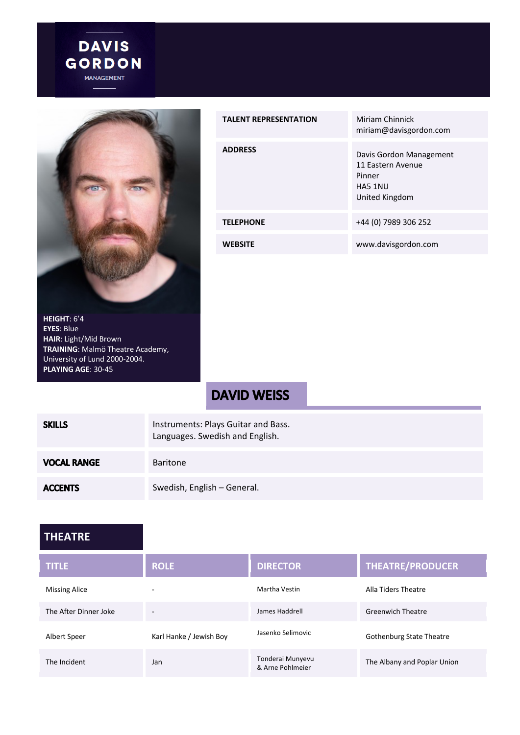



| <b>TALENT REPRESENTATION</b> | Miriam Chinnick<br>miriam@davisgordon.com                                           |
|------------------------------|-------------------------------------------------------------------------------------|
| <b>ADDRESS</b>               | Davis Gordon Management<br>11 Eastern Avenue<br>Pinner<br>HA5 1NU<br>United Kingdom |
| <b>TELEPHONE</b>             | +44 (0) 7989 306 252                                                                |
| <b>WEBSITE</b>               | www.davisgordon.com                                                                 |

#### **HEIGHT**: 6'4 **EYES**: Blue **HAIR**: Light/Mid Brown **TRAINING**: Malmö Theatre Academy, University of Lund 2000-2004. **PLAYING AGE**: 30-45

# **DAVID WEISS**

| <b>SKILLS</b>      | Instruments: Plays Guitar and Bass.<br>Languages. Swedish and English. |
|--------------------|------------------------------------------------------------------------|
| <b>VOCAL RANGE</b> | <b>Baritone</b>                                                        |
| <b>ACCENTS</b>     | Swedish, English - General.                                            |

#### **THEATRE**

| <b>TITLE</b>          | <b>ROLE</b>              | <b>DIRECTOR</b>                      | <b>THEATRE/PRODUCER</b>         |
|-----------------------|--------------------------|--------------------------------------|---------------------------------|
| <b>Missing Alice</b>  | $\overline{\phantom{0}}$ | Martha Vestin                        | Alla Tiders Theatre             |
| The After Dinner Joke | $\overline{\phantom{0}}$ | James Haddrell                       | <b>Greenwich Theatre</b>        |
| Albert Speer          | Karl Hanke / Jewish Boy  | Jasenko Selimovic                    | <b>Gothenburg State Theatre</b> |
| The Incident          | Jan                      | Tonderai Munyevu<br>& Arne Pohlmeier | The Albany and Poplar Union     |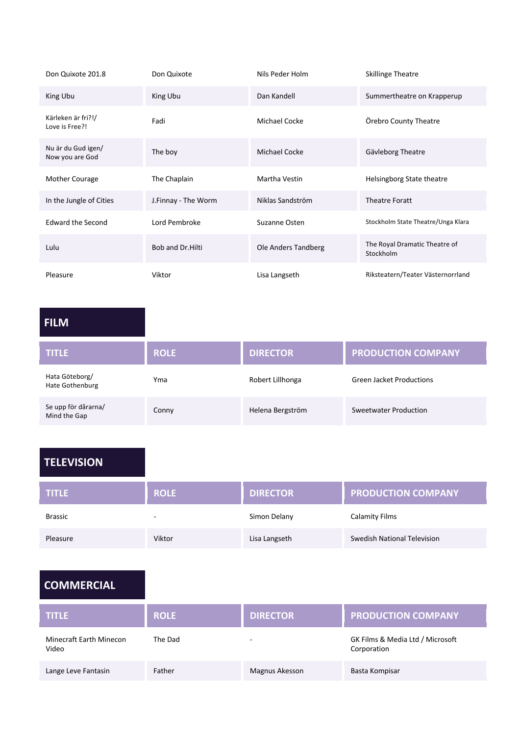| Don Quixote 201.8                     | Don Quixote         | Nils Peder Holm      | <b>Skillinge Theatre</b>                   |
|---------------------------------------|---------------------|----------------------|--------------------------------------------|
| King Ubu                              | King Ubu            | Dan Kandell          | Summertheatre on Krapperup                 |
| Kärleken är fri?!/<br>Love is Free?!  | Fadi                | <b>Michael Cocke</b> | Örebro County Theatre                      |
| Nu är du Gud igen/<br>Now you are God | The boy             | <b>Michael Cocke</b> | Gävleborg Theatre                          |
| Mother Courage                        | The Chaplain        | Martha Vestin        | Helsingborg State theatre                  |
| In the Jungle of Cities               | J.Finnay - The Worm | Niklas Sandström     | <b>Theatre Foratt</b>                      |
| <b>Edward the Second</b>              | Lord Pembroke       | Suzanne Osten        | Stockholm State Theatre/Unga Klara         |
| Lulu                                  | Bob and Dr. Hilti   | Ole Anders Tandberg  | The Royal Dramatic Theatre of<br>Stockholm |
| Pleasure                              | Viktor              | Lisa Langseth        | Riksteatern/Teater Västernorrland          |

# **FILM**

| <b>TITLE</b>                        | <b>ROLE</b> | <b>DIRECTOR</b>  | <b>PRODUCTION COMPANY</b>       |
|-------------------------------------|-------------|------------------|---------------------------------|
| Hata Göteborg/<br>Hate Gothenburg   | Yma         | Robert Lillhonga | <b>Green Jacket Productions</b> |
| Se upp för dårarna/<br>Mind the Gap | Conny       | Helena Bergström | Sweetwater Production           |

## **TELEVISION**

| <b>TITLE</b>   | <b>ROLE</b> | <b>DIRECTOR</b> | <b>PRODUCTION COMPANY</b>   |
|----------------|-------------|-----------------|-----------------------------|
| <b>Brassic</b> | -           | Simon Delany    | <b>Calamity Films</b>       |
| Pleasure       | Viktor      | Lisa Langseth   | Swedish National Television |

## **COMMERCIAL**

| <b>TITLE</b>                     | <b>ROLE</b> | <b>DIRECTOR</b>          | <b>PRODUCTION COMPANY</b>                       |
|----------------------------------|-------------|--------------------------|-------------------------------------------------|
| Minecraft Earth Minecon<br>Video | The Dad     | $\overline{\phantom{0}}$ | GK Films & Media Ltd / Microsoft<br>Corporation |
| Lange Leve Fantasin              | Father      | Magnus Akesson           | Basta Kompisar                                  |